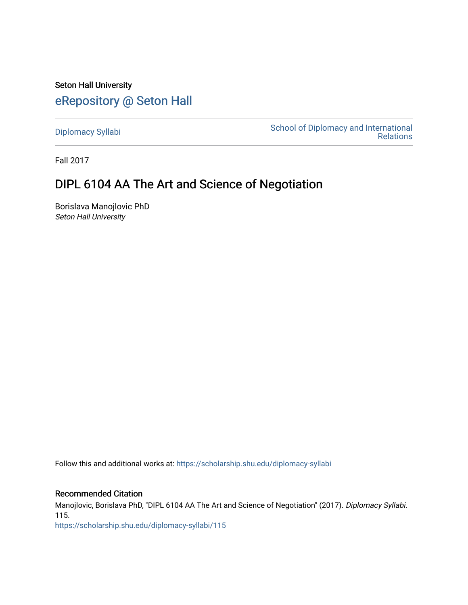Seton Hall University [eRepository @ Seton Hall](https://scholarship.shu.edu/)

[Diplomacy Syllabi](https://scholarship.shu.edu/diplomacy-syllabi) [School of Diplomacy and International](https://scholarship.shu.edu/diplomacy)  [Relations](https://scholarship.shu.edu/diplomacy) 

Fall 2017

# DIPL 6104 AA The Art and Science of Negotiation

Borislava Manojlovic PhD Seton Hall University

Follow this and additional works at: [https://scholarship.shu.edu/diplomacy-syllabi](https://scholarship.shu.edu/diplomacy-syllabi?utm_source=scholarship.shu.edu%2Fdiplomacy-syllabi%2F115&utm_medium=PDF&utm_campaign=PDFCoverPages) 

# Recommended Citation

Manojlovic, Borislava PhD, "DIPL 6104 AA The Art and Science of Negotiation" (2017). Diplomacy Syllabi. 115.

[https://scholarship.shu.edu/diplomacy-syllabi/115](https://scholarship.shu.edu/diplomacy-syllabi/115?utm_source=scholarship.shu.edu%2Fdiplomacy-syllabi%2F115&utm_medium=PDF&utm_campaign=PDFCoverPages)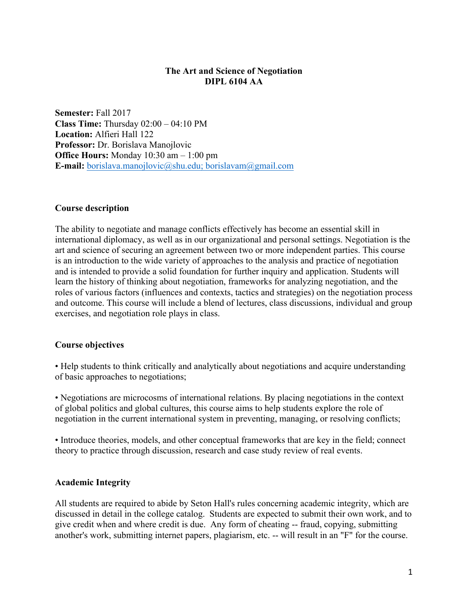# **The Art and Science of Negotiation DIPL 6104 AA**

**Semester:** Fall 2017 **Class Time:** Thursday 02:00 – 04:10 PM **Location:** Alfieri Hall 122 **Professor:** Dr. Borislava Manojlovic **Office Hours:** Monday 10:30 am – 1:00 pm **E-mail:** borislava.manojlovic@shu.edu; borislavam@gmail.com

# **Course description**

The ability to negotiate and manage conflicts effectively has become an essential skill in international diplomacy, as well as in our organizational and personal settings. Negotiation is the art and science of securing an agreement between two or more independent parties. This course is an introduction to the wide variety of approaches to the analysis and practice of negotiation and is intended to provide a solid foundation for further inquiry and application. Students will learn the history of thinking about negotiation, frameworks for analyzing negotiation, and the roles of various factors (influences and contexts, tactics and strategies) on the negotiation process and outcome. This course will include a blend of lectures, class discussions, individual and group exercises, and negotiation role plays in class.

# **Course objectives**

• Help students to think critically and analytically about negotiations and acquire understanding of basic approaches to negotiations;

• Negotiations are microcosms of international relations. By placing negotiations in the context of global politics and global cultures, this course aims to help students explore the role of negotiation in the current international system in preventing, managing, or resolving conflicts;

• Introduce theories, models, and other conceptual frameworks that are key in the field; connect theory to practice through discussion, research and case study review of real events.

## **Academic Integrity**

All students are required to abide by Seton Hall's rules concerning academic integrity, which are discussed in detail in the college catalog. Students are expected to submit their own work, and to give credit when and where credit is due. Any form of cheating -- fraud, copying, submitting another's work, submitting internet papers, plagiarism, etc. -- will result in an "F" for the course.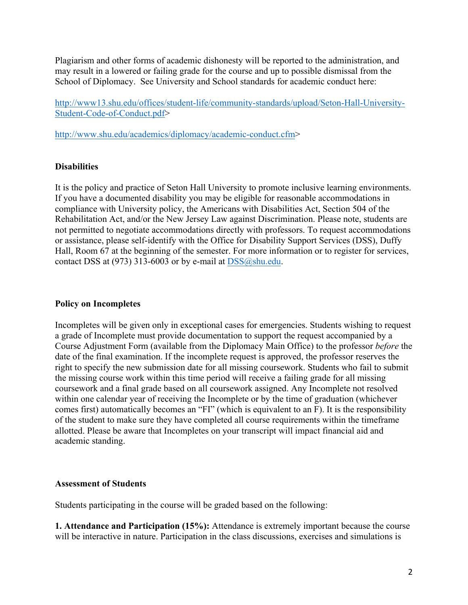Plagiarism and other forms of academic dishonesty will be reported to the administration, and may result in a lowered or failing grade for the course and up to possible dismissal from the School of Diplomacy. See University and School standards for academic conduct here:

http://www13.shu.edu/offices/student-life/community-standards/upload/Seton-Hall-University-Student-Code-of-Conduct.pdf>

http://www.shu.edu/academics/diplomacy/academic-conduct.cfm>

# **Disabilities**

It is the policy and practice of Seton Hall University to promote inclusive learning environments. If you have a documented disability you may be eligible for reasonable accommodations in compliance with University policy, the Americans with Disabilities Act, Section 504 of the Rehabilitation Act, and/or the New Jersey Law against Discrimination. Please note, students are not permitted to negotiate accommodations directly with professors. To request accommodations or assistance, please self-identify with the Office for Disability Support Services (DSS), Duffy Hall, Room 67 at the beginning of the semester. For more information or to register for services, contact DSS at  $(973)$  313-6003 or by e-mail at DSS $@s$ hu.edu.

# **Policy on Incompletes**

Incompletes will be given only in exceptional cases for emergencies. Students wishing to request a grade of Incomplete must provide documentation to support the request accompanied by a Course Adjustment Form (available from the Diplomacy Main Office) to the professor *before* the date of the final examination. If the incomplete request is approved, the professor reserves the right to specify the new submission date for all missing coursework. Students who fail to submit the missing course work within this time period will receive a failing grade for all missing coursework and a final grade based on all coursework assigned. Any Incomplete not resolved within one calendar year of receiving the Incomplete or by the time of graduation (whichever comes first) automatically becomes an "FI" (which is equivalent to an F). It is the responsibility of the student to make sure they have completed all course requirements within the timeframe allotted. Please be aware that Incompletes on your transcript will impact financial aid and academic standing.

## **Assessment of Students**

Students participating in the course will be graded based on the following:

**1. Attendance and Participation (15%):** Attendance is extremely important because the course will be interactive in nature. Participation in the class discussions, exercises and simulations is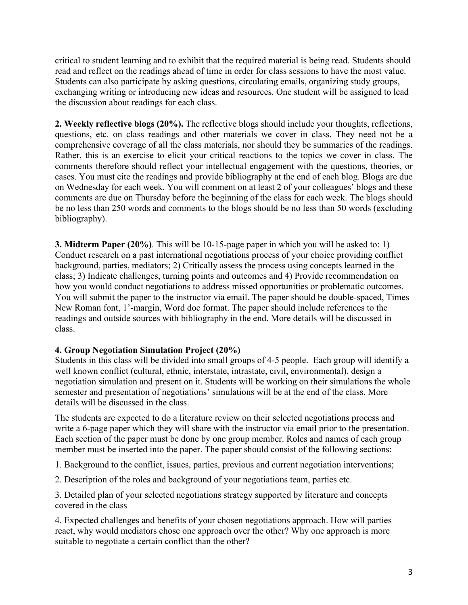critical to student learning and to exhibit that the required material is being read. Students should read and reflect on the readings ahead of time in order for class sessions to have the most value. Students can also participate by asking questions, circulating emails, organizing study groups, exchanging writing or introducing new ideas and resources. One student will be assigned to lead the discussion about readings for each class.

**2. Weekly reflective blogs (20%).** The reflective blogs should include your thoughts, reflections, questions, etc. on class readings and other materials we cover in class. They need not be a comprehensive coverage of all the class materials, nor should they be summaries of the readings. Rather, this is an exercise to elicit your critical reactions to the topics we cover in class. The comments therefore should reflect your intellectual engagement with the questions, theories, or cases. You must cite the readings and provide bibliography at the end of each blog. Blogs are due on Wednesday for each week. You will comment on at least 2 of your colleagues' blogs and these comments are due on Thursday before the beginning of the class for each week. The blogs should be no less than 250 words and comments to the blogs should be no less than 50 words (excluding bibliography).

**3. Midterm Paper (20%)**. This will be 10-15-page paper in which you will be asked to: 1) Conduct research on a past international negotiations process of your choice providing conflict background, parties, mediators; 2) Critically assess the process using concepts learned in the class; 3) Indicate challenges, turning points and outcomes and 4) Provide recommendation on how you would conduct negotiations to address missed opportunities or problematic outcomes. You will submit the paper to the instructor via email. The paper should be double-spaced, Times New Roman font, 1'-margin, Word doc format. The paper should include references to the readings and outside sources with bibliography in the end. More details will be discussed in class.

# **4. Group Negotiation Simulation Project (20%)**

Students in this class will be divided into small groups of 4-5 people. Each group will identify a well known conflict (cultural, ethnic, interstate, intrastate, civil, environmental), design a negotiation simulation and present on it. Students will be working on their simulations the whole semester and presentation of negotiations' simulations will be at the end of the class. More details will be discussed in the class.

The students are expected to do a literature review on their selected negotiations process and write a 6-page paper which they will share with the instructor via email prior to the presentation. Each section of the paper must be done by one group member. Roles and names of each group member must be inserted into the paper. The paper should consist of the following sections:

1. Background to the conflict, issues, parties, previous and current negotiation interventions;

2. Description of the roles and background of your negotiations team, parties etc.

3. Detailed plan of your selected negotiations strategy supported by literature and concepts covered in the class

4. Expected challenges and benefits of your chosen negotiations approach. How will parties react, why would mediators chose one approach over the other? Why one approach is more suitable to negotiate a certain conflict than the other?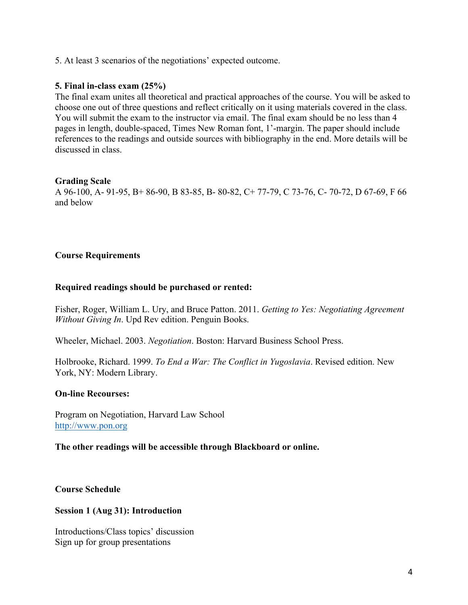# 5. At least 3 scenarios of the negotiations' expected outcome.

# **5. Final in-class exam (25%)**

The final exam unites all theoretical and practical approaches of the course. You will be asked to choose one out of three questions and reflect critically on it using materials covered in the class. You will submit the exam to the instructor via email. The final exam should be no less than 4 pages in length, double-spaced, Times New Roman font, 1'-margin. The paper should include references to the readings and outside sources with bibliography in the end. More details will be discussed in class.

## **Grading Scale**

A 96-100, A- 91-95, B+ 86-90, B 83-85, B- 80-82, C+ 77-79, C 73-76, C- 70-72, D 67-69, F 66 and below

## **Course Requirements**

#### **Required readings should be purchased or rented:**

Fisher, Roger, William L. Ury, and Bruce Patton. 2011. *Getting to Yes: Negotiating Agreement Without Giving In*. Upd Rev edition. Penguin Books.

Wheeler, Michael. 2003. *Negotiation*. Boston: Harvard Business School Press.

Holbrooke, Richard. 1999. *To End a War: The Conflict in Yugoslavia*. Revised edition. New York, NY: Modern Library.

#### **On-line Recourses:**

Program on Negotiation, Harvard Law School http://www.pon.org

#### **The other readings will be accessible through Blackboard or online.**

**Course Schedule**

#### **Session 1 (Aug 31): Introduction**

Introductions/Class topics' discussion Sign up for group presentations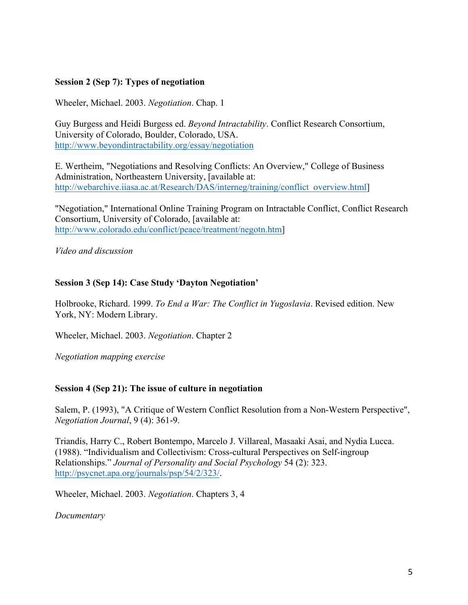# **Session 2 (Sep 7): Types of negotiation**

Wheeler, Michael. 2003. *Negotiation*. Chap. 1

Guy Burgess and Heidi Burgess ed. *Beyond Intractability*. Conflict Research Consortium, University of Colorado, Boulder, Colorado, USA. http://www.beyondintractability.org/essay/negotiation

E. Wertheim, "Negotiations and Resolving Conflicts: An Overview," College of Business Administration, Northeastern University, [available at: http://webarchive.iiasa.ac.at/Research/DAS/interneg/training/conflict\_overview.html]

"Negotiation," International Online Training Program on Intractable Conflict, Conflict Research Consortium, University of Colorado, [available at: http://www.colorado.edu/conflict/peace/treatment/negotn.htm]

*Video and discussion*

## **Session 3 (Sep 14): Case Study 'Dayton Negotiation'**

Holbrooke, Richard. 1999. *To End a War: The Conflict in Yugoslavia*. Revised edition. New York, NY: Modern Library.

Wheeler, Michael. 2003. *Negotiation*. Chapter 2

*Negotiation mapping exercise*

## **Session 4 (Sep 21): The issue of culture in negotiation**

Salem, P. (1993), "A Critique of Western Conflict Resolution from a Non-Western Perspective", *Negotiation Journal*, 9 (4): 361-9.

Triandis, Harry C., Robert Bontempo, Marcelo J. Villareal, Masaaki Asai, and Nydia Lucca. (1988). "Individualism and Collectivism: Cross-cultural Perspectives on Self-ingroup Relationships." *Journal of Personality and Social Psychology* 54 (2): 323. http://psycnet.apa.org/journals/psp/54/2/323/.

Wheeler, Michael. 2003. *Negotiation*. Chapters 3, 4

*Documentary*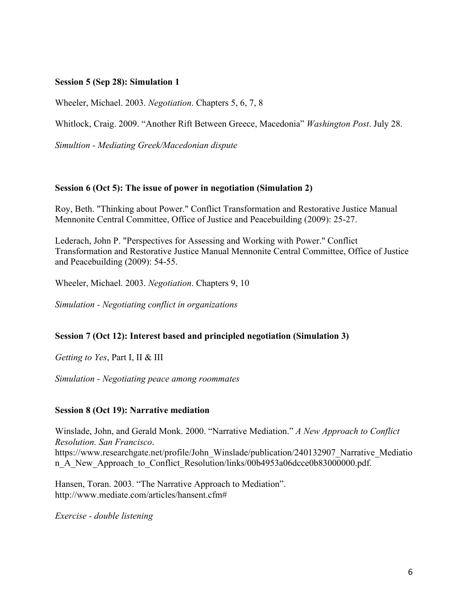## **Session 5 (Sep 28): Simulation 1**

Wheeler, Michael. 2003. *Negotiation*. Chapters 5, 6, 7, 8

Whitlock, Craig. 2009. "Another Rift Between Greece, Macedonia" *Washington Post*. July 28.

*Simultion - Mediating Greek/Macedonian dispute* 

## **Session 6 (Oct 5): The issue of power in negotiation (Simulation 2)**

Roy, Beth. "Thinking about Power." Conflict Transformation and Restorative Justice Manual Mennonite Central Committee, Office of Justice and Peacebuilding (2009): 25-27.

Lederach, John P. "Perspectives for Assessing and Working with Power." Conflict Transformation and Restorative Justice Manual Mennonite Central Committee, Office of Justice and Peacebuilding (2009): 54-55.

Wheeler, Michael. 2003. *Negotiation*. Chapters 9, 10

*Simulation - Negotiating conflict in organizations*

## **Session 7 (Oct 12): Interest based and principled negotiation (Simulation 3)**

*Getting to Yes*, Part I, II & III

*Simulation - Negotiating peace among roommates*

## **Session 8 (Oct 19): Narrative mediation**

Winslade, John, and Gerald Monk. 2000. "Narrative Mediation." *A New Approach to Conflict Resolution. San Francisco*. https://www.researchgate.net/profile/John\_Winslade/publication/240132907\_Narrative\_Mediatio n\_A\_New\_Approach\_to\_Conflict\_Resolution/links/00b4953a06dcce0b83000000.pdf.

Hansen, Toran. 2003. "The Narrative Approach to Mediation". http://www.mediate.com/articles/hansent.cfm#

*Exercise - double listening*